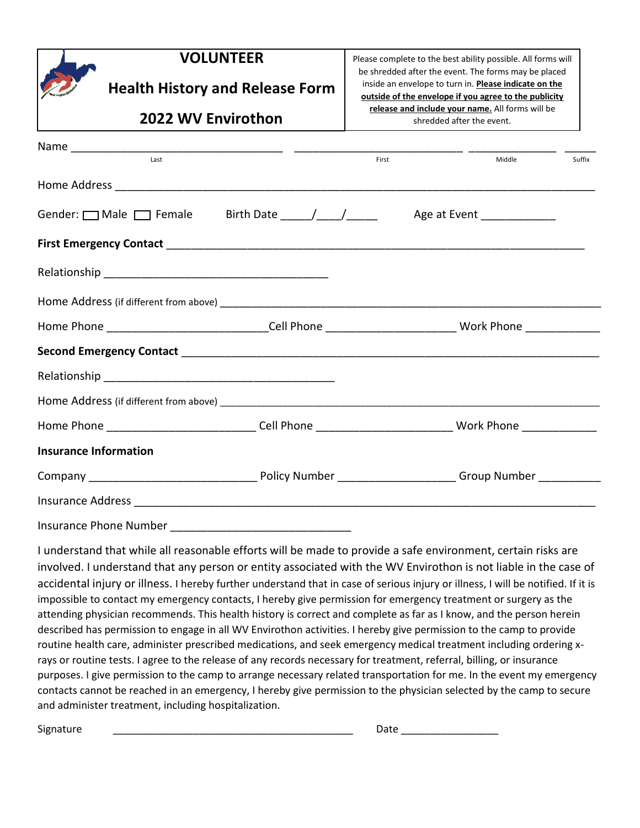| <b>VOLUNTEER</b>                                                                                               |       | Please complete to the best ability possible. All forms will<br>be shredded after the event. The forms may be placed |  |  |
|----------------------------------------------------------------------------------------------------------------|-------|----------------------------------------------------------------------------------------------------------------------|--|--|
| <b>Health History and Release Form</b>                                                                         |       | inside an envelope to turn in. Please indicate on the<br>outside of the envelope if you agree to the publicity       |  |  |
| <b>2022 WV Envirothon</b>                                                                                      |       | release and include your name. All forms will be<br>shredded after the event.                                        |  |  |
| last                                                                                                           | First | Middle<br>Suffix                                                                                                     |  |  |
|                                                                                                                |       |                                                                                                                      |  |  |
| Gender: $\Box$ Male $\Box$ Female Birth Date $\Box$                                                            |       | Age at Event _____________                                                                                           |  |  |
|                                                                                                                |       |                                                                                                                      |  |  |
|                                                                                                                |       |                                                                                                                      |  |  |
|                                                                                                                |       |                                                                                                                      |  |  |
| Home Phone _______________________________Cell Phone ____________________________ Work Phone ________________  |       |                                                                                                                      |  |  |
|                                                                                                                |       |                                                                                                                      |  |  |
|                                                                                                                |       |                                                                                                                      |  |  |
|                                                                                                                |       |                                                                                                                      |  |  |
| Home Phone _______________________________Cell Phone ________________________________Work Phone ______________ |       |                                                                                                                      |  |  |
| <b>Insurance Information</b>                                                                                   |       |                                                                                                                      |  |  |
|                                                                                                                |       |                                                                                                                      |  |  |
|                                                                                                                |       |                                                                                                                      |  |  |
| <b>Insurance Phone Number</b>                                                                                  |       |                                                                                                                      |  |  |

I understand that while all reasonable efforts will be made to provide a safe environment, certain risks are involved. I understand that any person or entity associated with the WV Envirothon is not liable in the case of accidental injury or illness. I hereby further understand that in case of serious injury or illness, I will be notified. If it is impossible to contact my emergency contacts, I hereby give permission for emergency treatment or surgery as the attending physician recommends. This health history is correct and complete as far as I know, and the person herein described has permission to engage in all WV Envirothon activities. I hereby give permission to the camp to provide routine health care, administer prescribed medications, and seek emergency medical treatment including ordering xrays or routine tests. I agree to the release of any records necessary for treatment, referral, billing, or insurance purposes. I give permission to the camp to arrange necessary related transportation for me. In the event my emergency contacts cannot be reached in an emergency, I hereby give permission to the physician selected by the camp to secure and administer treatment, including hospitalization.

| Signature |  |
|-----------|--|
|           |  |